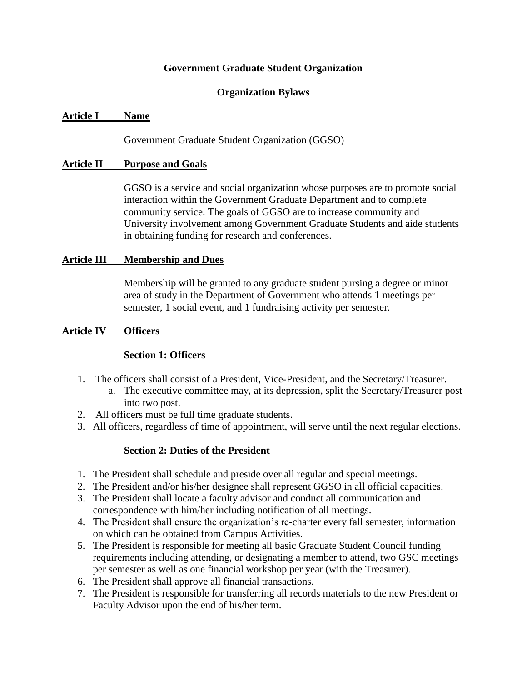#### **Government Graduate Student Organization**

#### **Organization Bylaws**

#### **Article I Name**

Government Graduate Student Organization (GGSO)

#### **Article II Purpose and Goals**

GGSO is a service and social organization whose purposes are to promote social interaction within the Government Graduate Department and to complete community service. The goals of GGSO are to increase community and University involvement among Government Graduate Students and aide students in obtaining funding for research and conferences.

#### **Article III Membership and Dues**

Membership will be granted to any graduate student pursing a degree or minor area of study in the Department of Government who attends 1 meetings per semester, 1 social event, and 1 fundraising activity per semester.

#### **Article IV Officers**

#### **Section 1: Officers**

- 1. The officers shall consist of a President, Vice-President, and the Secretary/Treasurer.
	- a. The executive committee may, at its depression, split the Secretary/Treasurer post into two post.
- 2. All officers must be full time graduate students.
- 3. All officers, regardless of time of appointment, will serve until the next regular elections.

#### **Section 2: Duties of the President**

- 1. The President shall schedule and preside over all regular and special meetings.
- 2. The President and/or his/her designee shall represent GGSO in all official capacities.
- 3. The President shall locate a faculty advisor and conduct all communication and correspondence with him/her including notification of all meetings.
- 4. The President shall ensure the organization's re-charter every fall semester, information on which can be obtained from Campus Activities.
- 5. The President is responsible for meeting all basic Graduate Student Council funding requirements including attending, or designating a member to attend, two GSC meetings per semester as well as one financial workshop per year (with the Treasurer).
- 6. The President shall approve all financial transactions.
- 7. The President is responsible for transferring all records materials to the new President or Faculty Advisor upon the end of his/her term.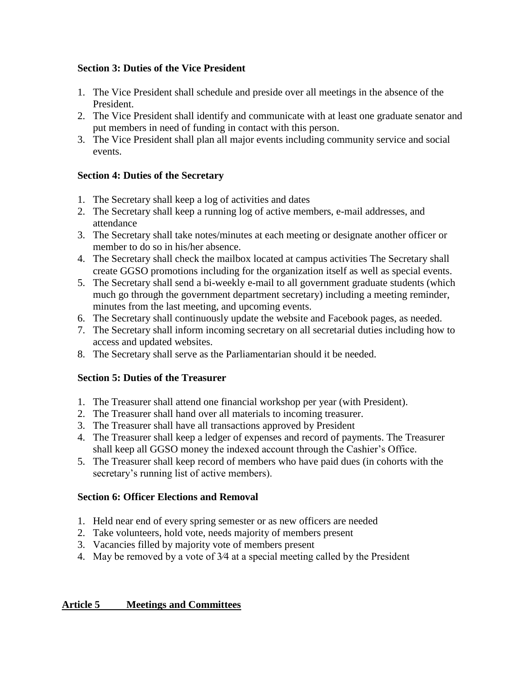### **Section 3: Duties of the Vice President**

- 1. The Vice President shall schedule and preside over all meetings in the absence of the President.
- 2. The Vice President shall identify and communicate with at least one graduate senator and put members in need of funding in contact with this person.
- 3. The Vice President shall plan all major events including community service and social events.

## **Section 4: Duties of the Secretary**

- 1. The Secretary shall keep a log of activities and dates
- 2. The Secretary shall keep a running log of active members, e-mail addresses, and attendance
- 3. The Secretary shall take notes/minutes at each meeting or designate another officer or member to do so in his/her absence.
- 4. The Secretary shall check the mailbox located at campus activities The Secretary shall create GGSO promotions including for the organization itself as well as special events.
- 5. The Secretary shall send a bi-weekly e-mail to all government graduate students (which much go through the government department secretary) including a meeting reminder, minutes from the last meeting, and upcoming events.
- 6. The Secretary shall continuously update the website and Facebook pages, as needed.
- 7. The Secretary shall inform incoming secretary on all secretarial duties including how to access and updated websites.
- 8. The Secretary shall serve as the Parliamentarian should it be needed.

# **Section 5: Duties of the Treasurer**

- 1. The Treasurer shall attend one financial workshop per year (with President).
- 2. The Treasurer shall hand over all materials to incoming treasurer.
- 3. The Treasurer shall have all transactions approved by President
- 4. The Treasurer shall keep a ledger of expenses and record of payments. The Treasurer shall keep all GGSO money the indexed account through the Cashier's Office.
- 5. The Treasurer shall keep record of members who have paid dues (in cohorts with the secretary's running list of active members).

### **Section 6: Officer Elections and Removal**

- 1. Held near end of every spring semester or as new officers are needed
- 2. Take volunteers, hold vote, needs majority of members present
- 3. Vacancies filled by majority vote of members present
- 4. May be removed by a vote of 3⁄4 at a special meeting called by the President

# **Article 5 Meetings and Committees**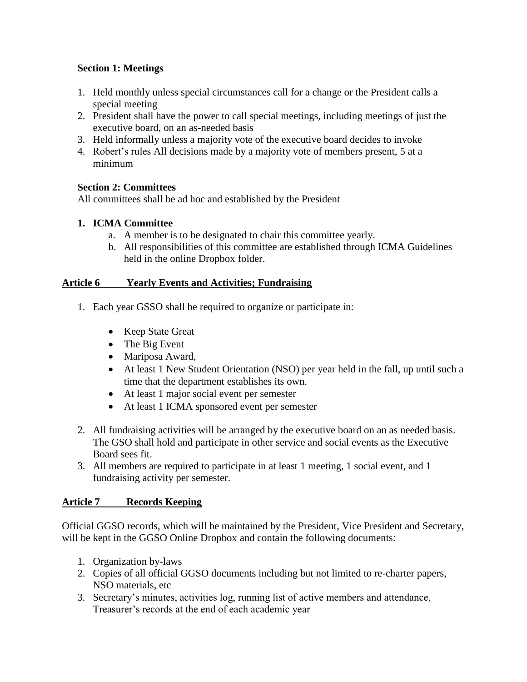### **Section 1: Meetings**

- 1. Held monthly unless special circumstances call for a change or the President calls a special meeting
- 2. President shall have the power to call special meetings, including meetings of just the executive board, on an as-needed basis
- 3. Held informally unless a majority vote of the executive board decides to invoke
- 4. Robert's rules All decisions made by a majority vote of members present, 5 at a minimum

## **Section 2: Committees**

All committees shall be ad hoc and established by the President

# **1. ICMA Committee**

- a. A member is to be designated to chair this committee yearly.
- b. All responsibilities of this committee are established through ICMA Guidelines held in the online Dropbox folder.

## **Article 6 Yearly Events and Activities; Fundraising**

- 1. Each year GSSO shall be required to organize or participate in:
	- Keep State Great
	- The Big Event
	- Mariposa Award,
	- At least 1 New Student Orientation (NSO) per year held in the fall, up until such a time that the department establishes its own.
	- At least 1 major social event per semester
	- At least 1 ICMA sponsored event per semester
- 2. All fundraising activities will be arranged by the executive board on an as needed basis. The GSO shall hold and participate in other service and social events as the Executive Board sees fit.
- 3. All members are required to participate in at least 1 meeting, 1 social event, and 1 fundraising activity per semester.

# **Article 7 Records Keeping**

Official GGSO records, which will be maintained by the President, Vice President and Secretary, will be kept in the GGSO Online Dropbox and contain the following documents:

- 1. Organization by-laws
- 2. Copies of all official GGSO documents including but not limited to re-charter papers, NSO materials, etc
- 3. Secretary's minutes, activities log, running list of active members and attendance, Treasurer's records at the end of each academic year